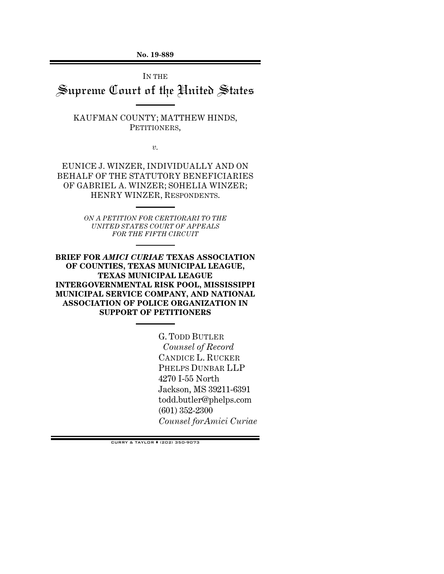**No. 19-889** 

IN THE Supreme Court of the United States

KAUFMAN COUNTY; MATTHEW HINDS, PETITIONERS,

*v.* 

EUNICE J. WINZER, INDIVIDUALLY AND ON BEHALF OF THE STATUTORY BENEFICIARIES OF GABRIEL A. WINZER; SOHELIA WINZER; HENRY WINZER, RESPONDENTS.

> *ON A PETITION FOR CERTIORARI TO THE UNITED STATES COURT OF APPEALS FOR THE FIFTH CIRCUIT*

**BRIEF FOR** *AMICI CURIAE* **TEXAS ASSOCIATION OF COUNTIES, TEXAS MUNICIPAL LEAGUE, TEXAS MUNICIPAL LEAGUE INTERGOVERNMENTAL RISK POOL, MISSISSIPPI MUNICIPAL SERVICE COMPANY, AND NATIONAL ASSOCIATION OF POLICE ORGANIZATION IN SUPPORT OF PETITIONERS** 

> G. TODD BUTLER  *Counsel of Record*  CANDICE L. RUCKER PHELPS DUNBAR LLP 4270 I-55 North Jackson, MS 39211-6391 todd.butler@phelps.com (601) 352-2300 *Counsel forAmici Curiae*

CURRY & TAYLOR (202) 350-9073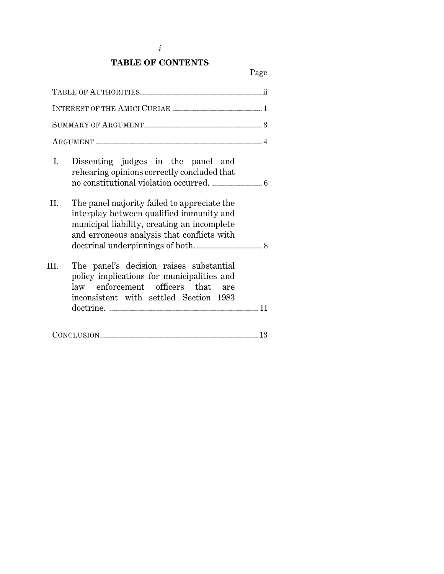# **TABLE OF CONTENTS**

| ${\tt SUMMARY\ OF\ ARGUMENT.}\hspace{1.2cm}.\hspace{1.2cm}.\hspace{1.2cm}.\hspace{1.2cm}.\hspace{1.2cm}.\hspace{1.2cm}.\hspace{1.2cm}.\hspace{1.2cm}.\hspace{1.2cm}.\hspace{1.2cm}.\hspace{1.2cm}.\hspace{1.2cm}.\hspace{1.2cm}.\hspace{1.2cm}.\hspace{1.2cm}.\hspace{1.2cm}.\hspace{1.2cm}.\hspace{1.2cm}.\hspace{1.2cm}.\hspace{1.2cm}.\hspace{1.2cm}.\hspace{1.2cm}.\hspace{1.2cm}.\hspace$ |     |
|------------------------------------------------------------------------------------------------------------------------------------------------------------------------------------------------------------------------------------------------------------------------------------------------------------------------------------------------------------------------------------------------|-----|
|                                                                                                                                                                                                                                                                                                                                                                                                |     |
| Dissenting judges in the panel and<br>I.<br>rehearing opinions correctly concluded that                                                                                                                                                                                                                                                                                                        |     |
| The panel majority failed to appreciate the<br>II.<br>interplay between qualified immunity and<br>municipal liability, creating an incomplete<br>and erroneous analysis that conflicts with                                                                                                                                                                                                    |     |
| The panel's decision raises substantial<br>III.<br>policy implications for municipalities and<br>enforcement officers that<br>law<br>inconsistent with settled Section 1983                                                                                                                                                                                                                    | are |
|                                                                                                                                                                                                                                                                                                                                                                                                |     |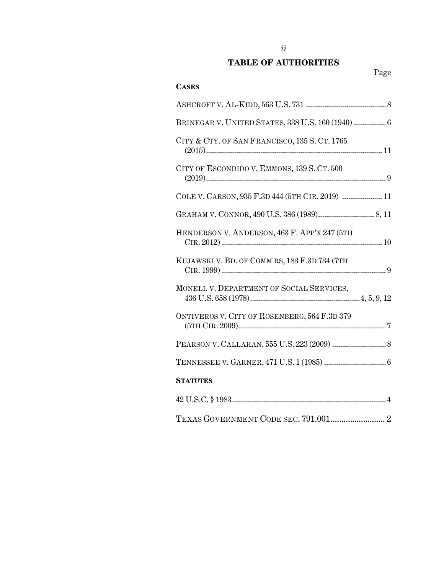# **TABLE OF AUTHORITIES**

| <b>CASES</b>                                      |
|---------------------------------------------------|
|                                                   |
| BRINEGAR V. UNITED STATES, 338 U.S. 160 (1940)  6 |
| CITY & CTY. OF SAN FRANCISCO, 135 S. CT. 1765     |
| CITY OF ESCONDIDO V. EMMONS, 139 S. CT. 500       |
| COLE V. CARSON, 935 F.3D 444 (5TH CIR. 2019)  11  |
|                                                   |
| HENDERSON V. ANDERSON, 463 F. APP'X 247 (5TH      |
| KUJAWSKI V. BD. OF COMM'RS, 183 F.3D 734 (7TH     |
| MONELL V. DEPARTMENT OF SOCIAL SERVICES,          |
| ONTIVEROS V. CITY OF ROSENBERG, 564 F.3D 379      |
|                                                   |
|                                                   |
| <b>STATUTES</b>                                   |
|                                                   |
|                                                   |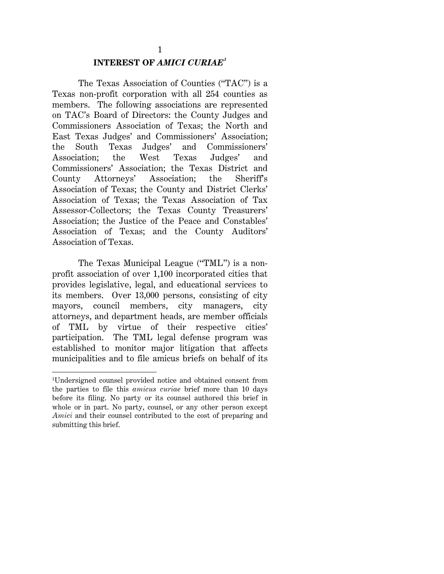# 1 **INTEREST OF** *AMICI CURIAE<sup>1</sup>*

 The Texas Association of Counties ("TAC") is a Texas non-profit corporation with all 254 counties as members. The following associations are represented on TAC's Board of Directors: the County Judges and Commissioners Association of Texas; the North and East Texas Judges' and Commissioners' Association; the South Texas Judges' and Commissioners' Association; the West Texas Judges' and Commissioners' Association; the Texas District and County Attorneys' Association; the Sheriff's Association of Texas; the County and District Clerks' Association of Texas; the Texas Association of Tax Assessor-Collectors; the Texas County Treasurers' Association; the Justice of the Peace and Constables' Association of Texas; and the County Auditors' Association of Texas.

The Texas Municipal League ("TML") is a nonprofit association of over 1,100 incorporated cities that provides legislative, legal, and educational services to its members. Over 13,000 persons, consisting of city mayors, council members, city managers, city attorneys, and department heads, are member officials of TML by virtue of their respective cities' participation. The TML legal defense program was established to monitor major litigation that affects municipalities and to file amicus briefs on behalf of its

 $\overline{\phantom{a}}$ 

<sup>1</sup> Undersigned counsel provided notice and obtained consent from the parties to file this *amicus curiae* brief more than 10 days before its filing. No party or its counsel authored this brief in whole or in part. No party, counsel, or any other person except *Amici* and their counsel contributed to the cost of preparing and submitting this brief.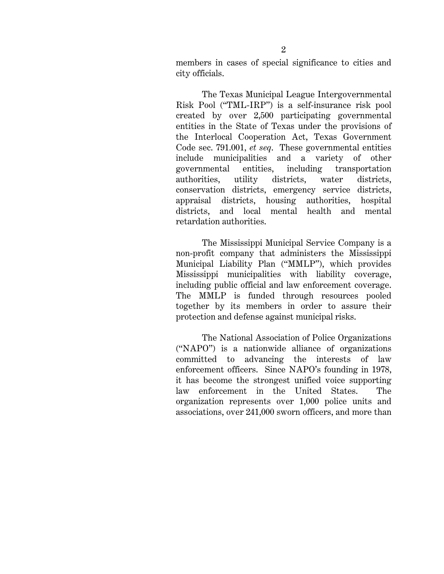members in cases of special significance to cities and city officials.

The Texas Municipal League Intergovernmental Risk Pool ("TML-IRP") is a self-insurance risk pool created by over 2,500 participating governmental entities in the State of Texas under the provisions of the Interlocal Cooperation Act, Texas Government Code sec. 791.001, *et seq*. These governmental entities include municipalities and a variety of other governmental entities, including transportation authorities, utility districts, water districts, conservation districts, emergency service districts, appraisal districts, housing authorities, hospital districts, and local mental health and mental retardation authorities.

The Mississippi Municipal Service Company is a non-profit company that administers the Mississippi Municipal Liability Plan ("MMLP"), which provides Mississippi municipalities with liability coverage, including public official and law enforcement coverage. The MMLP is funded through resources pooled together by its members in order to assure their protection and defense against municipal risks.

The National Association of Police Organizations ("NAPO") is a nationwide alliance of organizations committed to advancing the interests of law enforcement officers. Since NAPO's founding in 1978, it has become the strongest unified voice supporting law enforcement in the United States. The organization represents over 1,000 police units and associations, over 241,000 sworn officers, and more than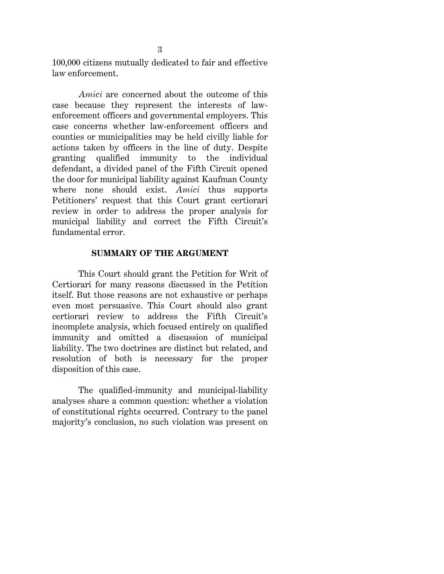100,000 citizens mutually dedicated to fair and effective law enforcement.

*Amici* are concerned about the outcome of this case because they represent the interests of lawenforcement officers and governmental employers. This case concerns whether law-enforcement officers and counties or municipalities may be held civilly liable for actions taken by officers in the line of duty. Despite granting qualified immunity to the individual defendant, a divided panel of the Fifth Circuit opened the door for municipal liability against Kaufman County where none should exist. *Amici* thus supports Petitioners' request that this Court grant certiorari review in order to address the proper analysis for municipal liability and correct the Fifth Circuit's fundamental error.

#### **SUMMARY OF THE ARGUMENT**

 This Court should grant the Petition for Writ of Certiorari for many reasons discussed in the Petition itself. But those reasons are not exhaustive or perhaps even most persuasive. This Court should also grant certiorari review to address the Fifth Circuit's incomplete analysis, which focused entirely on qualified immunity and omitted a discussion of municipal liability. The two doctrines are distinct but related, and resolution of both is necessary for the proper disposition of this case.

 The qualified-immunity and municipal-liability analyses share a common question: whether a violation of constitutional rights occurred. Contrary to the panel majority's conclusion, no such violation was present on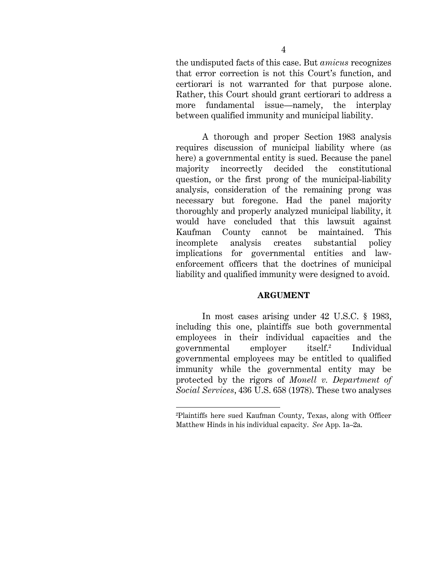the undisputed facts of this case. But *amicus* recognizes that error correction is not this Court's function, and certiorari is not warranted for that purpose alone. Rather, this Court should grant certiorari to address a more fundamental issue—namely, the interplay between qualified immunity and municipal liability.

 A thorough and proper Section 1983 analysis requires discussion of municipal liability where (as here) a governmental entity is sued. Because the panel majority incorrectly decided the constitutional question, or the first prong of the municipal-liability analysis, consideration of the remaining prong was necessary but foregone. Had the panel majority thoroughly and properly analyzed municipal liability, it would have concluded that this lawsuit against Kaufman County cannot be maintained. This incomplete analysis creates substantial policy implications for governmental entities and lawenforcement officers that the doctrines of municipal liability and qualified immunity were designed to avoid.

#### **ARGUMENT**

 In most cases arising under 42 U.S.C. § 1983, including this one, plaintiffs sue both governmental employees in their individual capacities and the governmental employer itself.2 Individual governmental employees may be entitled to qualified immunity while the governmental entity may be protected by the rigors of *Monell v. Department of Social Services*, 436 U.S. 658 (1978). These two analyses

l

<sup>2</sup> Plaintiffs here sued Kaufman County, Texas, along with Officer Matthew Hinds in his individual capacity. *See* App. 1a–2a.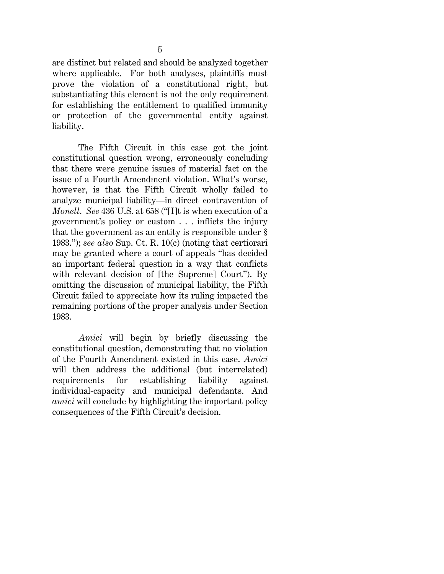5

are distinct but related and should be analyzed together where applicable. For both analyses, plaintiffs must prove the violation of a constitutional right, but substantiating this element is not the only requirement for establishing the entitlement to qualified immunity or protection of the governmental entity against liability.

 The Fifth Circuit in this case got the joint constitutional question wrong, erroneously concluding that there were genuine issues of material fact on the issue of a Fourth Amendment violation. What's worse, however, is that the Fifth Circuit wholly failed to analyze municipal liability—in direct contravention of *Monell*. *See* 436 U.S. at 658 ("[I]t is when execution of a government's policy or custom . . . inflicts the injury that the government as an entity is responsible under § 1983."); *see also* Sup. Ct. R. 10(c) (noting that certiorari may be granted where a court of appeals "has decided an important federal question in a way that conflicts with relevant decision of [the Supreme] Court"). By omitting the discussion of municipal liability, the Fifth Circuit failed to appreciate how its ruling impacted the remaining portions of the proper analysis under Section 1983.

*Amici* will begin by briefly discussing the constitutional question, demonstrating that no violation of the Fourth Amendment existed in this case. *Amici* will then address the additional (but interrelated) requirements for establishing liability against individual-capacity and municipal defendants. And *amici* will conclude by highlighting the important policy consequences of the Fifth Circuit's decision.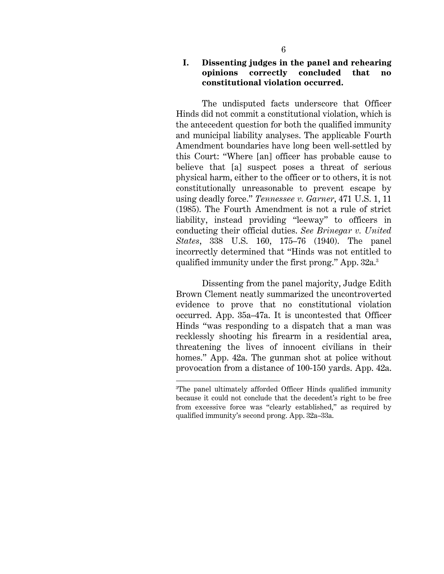The undisputed facts underscore that Officer Hinds did not commit a constitutional violation, which is the antecedent question for both the qualified immunity and municipal liability analyses. The applicable Fourth Amendment boundaries have long been well-settled by this Court: "Where [an] officer has probable cause to believe that [a] suspect poses a threat of serious physical harm, either to the officer or to others, it is not constitutionally unreasonable to prevent escape by using deadly force." *Tennessee v. Garner*, 471 U.S. 1, 11 (1985). The Fourth Amendment is not a rule of strict liability, instead providing "leeway" to officers in conducting their official duties. *See Brinegar v. United States*, 338 U.S. 160, 175–76 (1940). The panel incorrectly determined that "Hinds was not entitled to qualified immunity under the first prong." App. 32a.<sup>3</sup>

Dissenting from the panel majority, Judge Edith Brown Clement neatly summarized the uncontroverted evidence to prove that no constitutional violation occurred. App. 35a–47a. It is uncontested that Officer Hinds "was responding to a dispatch that a man was recklessly shooting his firearm in a residential area, threatening the lives of innocent civilians in their homes." App. 42a. The gunman shot at police without provocation from a distance of 100-150 yards. App. 42a.

 $\overline{a}$ 

<sup>3</sup> The panel ultimately afforded Officer Hinds qualified immunity because it could not conclude that the decedent's right to be free from excessive force was "clearly established," as required by qualified immunity's second prong. App. 32a–33a.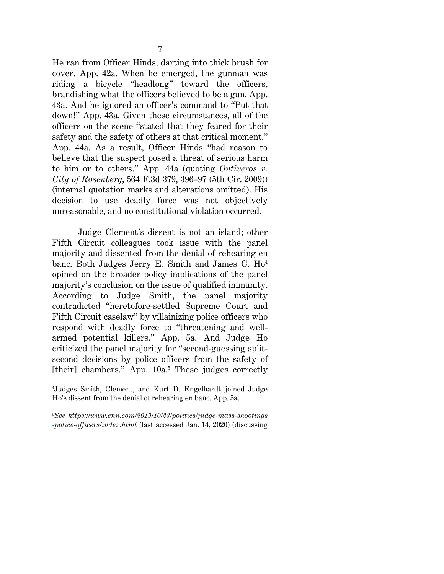He ran from Officer Hinds, darting into thick brush for cover. App. 42a. When he emerged, the gunman was riding a bicycle "headlong" toward the officers, brandishing what the officers believed to be a gun. App. 43a. And he ignored an officer's command to "Put that down!" App. 43a. Given these circumstances, all of the officers on the scene "stated that they feared for their safety and the safety of others at that critical moment." App. 44a. As a result, Officer Hinds "had reason to believe that the suspect posed a threat of serious harm to him or to others." App. 44a (quoting *Ontiveros v. City of Rosenberg*, 564 F.3d 379, 396–97 (5th Cir. 2009)) (internal quotation marks and alterations omitted). His decision to use deadly force was not objectively unreasonable, and no constitutional violation occurred.

Judge Clement's dissent is not an island; other Fifth Circuit colleagues took issue with the panel majority and dissented from the denial of rehearing en banc. Both Judges Jerry E. Smith and James C. Ho<sup>4</sup> opined on the broader policy implications of the panel majority's conclusion on the issue of qualified immunity. According to Judge Smith, the panel majority contradicted "heretofore-settled Supreme Court and Fifth Circuit caselaw" by villainizing police officers who respond with deadly force to "threatening and wellarmed potential killers." App. 5a. And Judge Ho criticized the panel majority for "second-guessing splitsecond decisions by police officers from the safety of [their] chambers." App. 10a.<sup>5</sup> These judges correctly

 $\overline{a}$ 

5 *See https://www.cnn.com/2019/10/23/politics/judge-mass-shootings -police-officers/index.html* (last accessed Jan. 14, 2020) (discussing

<sup>4</sup> Judges Smith, Clement, and Kurt D. Engelhardt joined Judge Ho's dissent from the denial of rehearing en banc. App. 5a.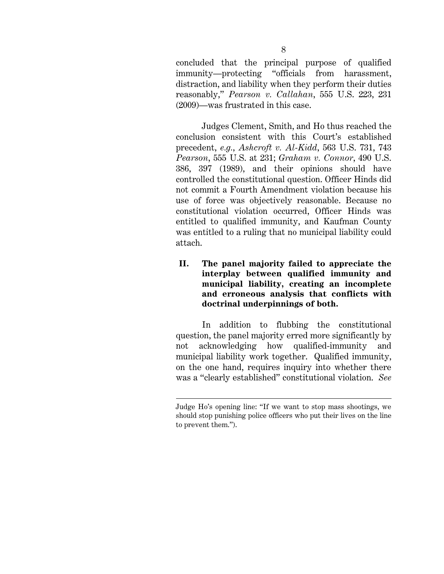concluded that the principal purpose of qualified immunity—protecting "officials from harassment, distraction, and liability when they perform their duties reasonably," *Pearson v. Callahan*, 555 U.S. 223, 231 (2009)—was frustrated in this case.

Judges Clement, Smith, and Ho thus reached the conclusion consistent with this Court's established precedent, *e.g.*, *Ashcroft v. Al-Kidd*, 563 U.S. 731, 743 *Pearson*, 555 U.S. at 231; *Graham v. Connor*, 490 U.S. 386, 397 (1989), and their opinions should have controlled the constitutional question. Officer Hinds did not commit a Fourth Amendment violation because his use of force was objectively reasonable. Because no constitutional violation occurred, Officer Hinds was entitled to qualified immunity, and Kaufman County was entitled to a ruling that no municipal liability could attach.

**II. The panel majority failed to appreciate the interplay between qualified immunity and municipal liability, creating an incomplete and erroneous analysis that conflicts with doctrinal underpinnings of both.** 

In addition to flubbing the constitutional question, the panel majority erred more significantly by not acknowledging how qualified-immunity and municipal liability work together. Qualified immunity, on the one hand, requires inquiry into whether there was a "clearly established" constitutional violation. *See* 

 $\overline{\phantom{a}}$ 

Judge Ho's opening line: "If we want to stop mass shootings, we should stop punishing police officers who put their lives on the line to prevent them.").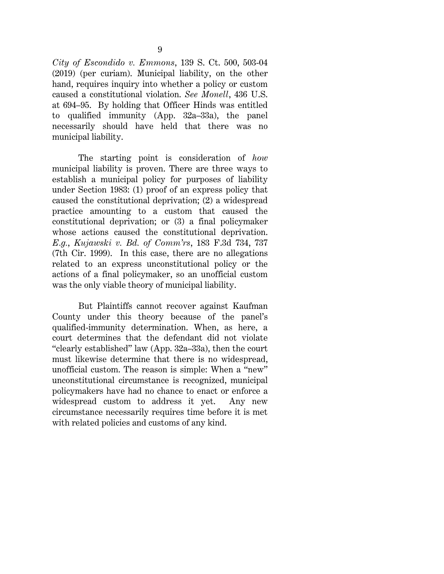*City of Escondido v. Emmons*, 139 S. Ct. 500, 503-04 (2019) (per curiam). Municipal liability, on the other hand, requires inquiry into whether a policy or custom caused a constitutional violation. *See Monell*, 436 U.S. at 694–95. By holding that Officer Hinds was entitled to qualified immunity (App. 32a–33a), the panel necessarily should have held that there was no municipal liability.

The starting point is consideration of *how*  municipal liability is proven. There are three ways to establish a municipal policy for purposes of liability under Section 1983: (1) proof of an express policy that caused the constitutional deprivation; (2) a widespread practice amounting to a custom that caused the constitutional deprivation; or (3) a final policymaker whose actions caused the constitutional deprivation. *E.g.*, *Kujawski v. Bd. of Comm'rs*, 183 F.3d 734, 737 (7th Cir. 1999). In this case, there are no allegations related to an express unconstitutional policy or the actions of a final policymaker, so an unofficial custom was the only viable theory of municipal liability.

 But Plaintiffs cannot recover against Kaufman County under this theory because of the panel's qualified-immunity determination. When, as here, a court determines that the defendant did not violate "clearly established" law (App. 32a–33a), then the court must likewise determine that there is no widespread, unofficial custom. The reason is simple: When a "new" unconstitutional circumstance is recognized, municipal policymakers have had no chance to enact or enforce a widespread custom to address it yet. Any new circumstance necessarily requires time before it is met with related policies and customs of any kind.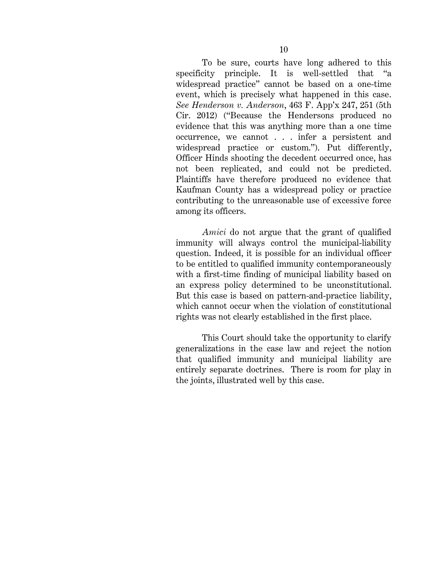To be sure, courts have long adhered to this specificity principle. It is well-settled that "a widespread practice" cannot be based on a one-time event, which is precisely what happened in this case. *See Henderson v. Anderson*, 463 F. App'x 247, 251 (5th Cir. 2012) ("Because the Hendersons produced no evidence that this was anything more than a one time occurrence, we cannot . . . infer a persistent and widespread practice or custom."). Put differently, Officer Hinds shooting the decedent occurred once, has not been replicated, and could not be predicted. Plaintiffs have therefore produced no evidence that Kaufman County has a widespread policy or practice contributing to the unreasonable use of excessive force among its officers.

*Amici* do not argue that the grant of qualified immunity will always control the municipal-liability question. Indeed, it is possible for an individual officer to be entitled to qualified immunity contemporaneously with a first-time finding of municipal liability based on an express policy determined to be unconstitutional. But this case is based on pattern-and-practice liability, which cannot occur when the violation of constitutional rights was not clearly established in the first place.

 This Court should take the opportunity to clarify generalizations in the case law and reject the notion that qualified immunity and municipal liability are entirely separate doctrines. There is room for play in the joints, illustrated well by this case.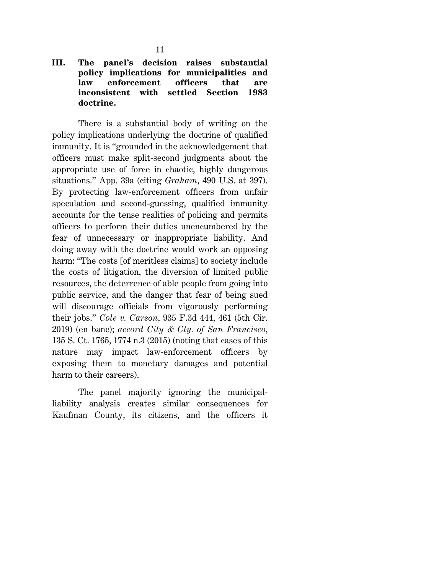## **III. The panel's decision raises substantial policy implications for municipalities and law enforcement officers that are inconsistent with settled Section 1983 doctrine.**

There is a substantial body of writing on the policy implications underlying the doctrine of qualified immunity. It is "grounded in the acknowledgement that officers must make split-second judgments about the appropriate use of force in chaotic, highly dangerous situations." App. 39a (citing *Graham*, 490 U.S. at 397). By protecting law-enforcement officers from unfair speculation and second-guessing, qualified immunity accounts for the tense realities of policing and permits officers to perform their duties unencumbered by the fear of unnecessary or inappropriate liability. And doing away with the doctrine would work an opposing harm: "The costs [of meritless claims] to society include the costs of litigation, the diversion of limited public resources, the deterrence of able people from going into public service, and the danger that fear of being sued will discourage officials from vigorously performing their jobs." *Cole v. Carson*, 935 F.3d 444, 461 (5th Cir. 2019) (en banc); *accord City & Cty. of San Francisco*, 135 S. Ct. 1765, 1774 n.3 (2015) (noting that cases of this nature may impact law-enforcement officers by exposing them to monetary damages and potential harm to their careers).

 The panel majority ignoring the municipalliability analysis creates similar consequences for Kaufman County, its citizens, and the officers it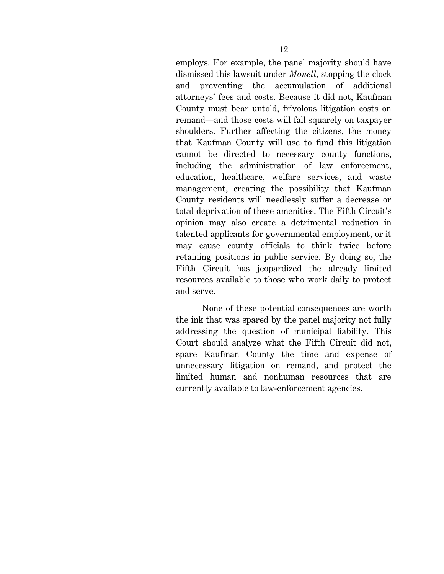employs. For example, the panel majority should have dismissed this lawsuit under *Monell*, stopping the clock and preventing the accumulation of additional attorneys' fees and costs. Because it did not, Kaufman County must bear untold, frivolous litigation costs on remand—and those costs will fall squarely on taxpayer shoulders. Further affecting the citizens, the money that Kaufman County will use to fund this litigation cannot be directed to necessary county functions, including the administration of law enforcement, education, healthcare, welfare services, and waste management, creating the possibility that Kaufman County residents will needlessly suffer a decrease or total deprivation of these amenities. The Fifth Circuit's opinion may also create a detrimental reduction in talented applicants for governmental employment, or it may cause county officials to think twice before retaining positions in public service. By doing so, the Fifth Circuit has jeopardized the already limited resources available to those who work daily to protect and serve.

None of these potential consequences are worth the ink that was spared by the panel majority not fully addressing the question of municipal liability. This Court should analyze what the Fifth Circuit did not, spare Kaufman County the time and expense of unnecessary litigation on remand, and protect the limited human and nonhuman resources that are currently available to law-enforcement agencies.